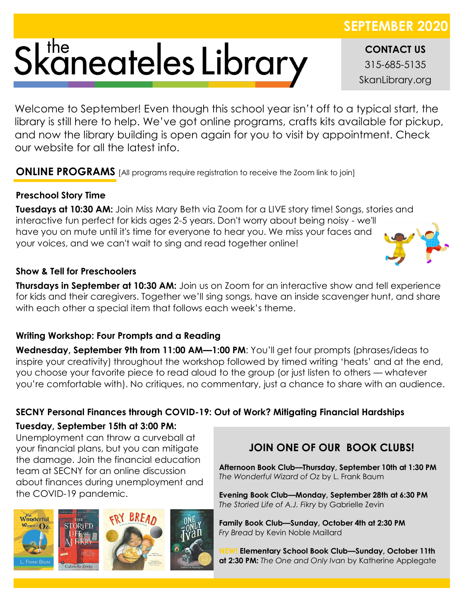# Skaneateles Library

**CONTACT US** 315-685-5135 SkanLibrary.org

**SEPTEMBER 2020**

Welcome to September! Even though this school year isn't off to a typical start, the library is still here to help. We've got online programs, crafts kits available for pickup, and now the library building is open again for you to visit by appointment. Check our website for all the latest info.

**ONLINE PROGRAMS** [All programs require registration to receive the Zoom link to join]

#### **Preschool Story Time**

**Tuesdays at 10:30 AM:** Join Miss Mary Beth via Zoom for a LIVE story time! Songs, stories and interactive fun perfect for kids ages 2-5 years. Don't worry about being noisy - we'll have you on mute until it's time for everyone to hear you. We miss your faces and your voices, and we can't wait to sing and read together online!

#### **Show & Tell for Preschoolers**

**Thursdays in September at 10:30 AM:** Join us on Zoom for an interactive show and tell experience for kids and their caregivers. Together we'll sing songs, have an inside scavenger hunt, and share with each other a special item that follows each week's theme.

#### **Writing Workshop: Four Prompts and a Reading**

**Wednesday, September 9th from 11:00 AM—1:00 PM**: You'll get four prompts (phrases/ideas to inspire your creativity) throughout the workshop followed by timed writing 'heats' and at the end, you choose your favorite piece to read aloud to the group (or just listen to others — whatever you're comfortable with). No critiques, no commentary, just a chance to share with an audience.

### **SECNY Personal Finances through COVID-19: Out of Work? Mitigating Financial Hardships**

#### **Tuesday, September 15th at 3:00 PM:**

Unemployment can throw a curveball at your financial plans, but you can mitigate the damage. Join the financial education team at SECNY for an online discussion about finances during unemployment and the COVID-19 pandemic.



## **JOIN ONE OF OUR BOOK CLUBS!**

**Afternoon Book Club—Thursday, September 10th at 1:30 PM** *The Wonderful Wizard of Oz* by L. Frank Baum

**Evening Book Club—Monday, September 28th at 6:30 PM** *The Storied Life of A.J. Fikry* by Gabrielle Zevin

**Family Book Club—Sunday, October 4th at 2:30 PM** *Fry Bread* by Kevin Noble Maillard

**NEW! Elementary School Book Club—Sunday, October 11th at 2:30 PM:** *The One and Only Ivan* by Katherine Applegate